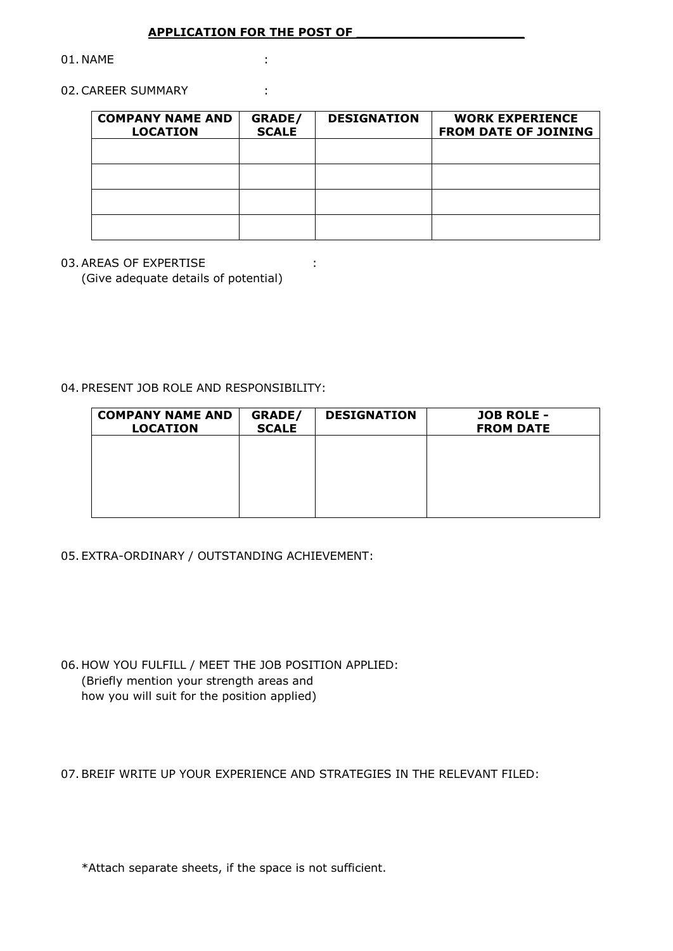## **APPLICATION FOR THE POST OF \_\_\_\_\_\_\_\_\_\_\_\_\_\_\_\_\_\_\_\_\_**

01. NAME :

### 02. CAREER SUMMARY :

| <b>COMPANY NAME AND</b><br><b>LOCATION</b> | GRADE/<br><b>SCALE</b> | <b>DESIGNATION</b> | <b>WORK EXPERIENCE</b><br><b>FROM DATE OF JOINING</b> |
|--------------------------------------------|------------------------|--------------------|-------------------------------------------------------|
|                                            |                        |                    |                                                       |
|                                            |                        |                    |                                                       |
|                                            |                        |                    |                                                       |
|                                            |                        |                    |                                                       |

# 03. AREAS OF EXPERTISE :  $\cdot$

(Give adequate details of potential)

04. PRESENT JOB ROLE AND RESPONSIBILITY:

| <b>COMPANY NAME AND</b><br><b>LOCATION</b> | GRADE/<br><b>SCALE</b> | <b>DESIGNATION</b> | <b>JOB ROLE -</b><br><b>FROM DATE</b> |
|--------------------------------------------|------------------------|--------------------|---------------------------------------|
|                                            |                        |                    |                                       |
|                                            |                        |                    |                                       |
|                                            |                        |                    |                                       |

## 05. EXTRA-ORDINARY / OUTSTANDING ACHIEVEMENT:

06. HOW YOU FULFILL / MEET THE JOB POSITION APPLIED: (Briefly mention your strength areas and how you will suit for the position applied)

07.BREIF WRITE UP YOUR EXPERIENCE AND STRATEGIES IN THE RELEVANT FILED:

\*Attach separate sheets, if the space is not sufficient.